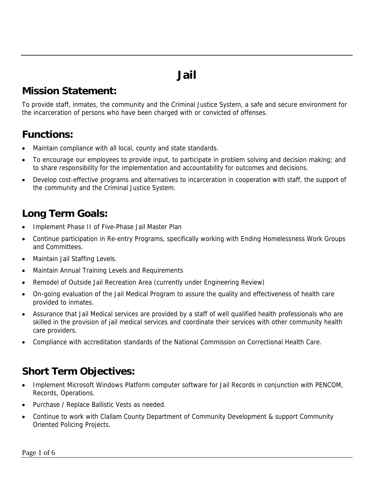# **Jail**

#### **Mission Statement:**

To provide staff, inmates, the community and the Criminal Justice System, a safe and secure environment for the incarceration of persons who have been charged with or convicted of offenses.

#### **Functions:**

- Maintain compliance with all local, county and state standards.
- To encourage our employees to provide input, to participate in problem solving and decision making; and to share responsibility for the implementation and accountability for outcomes and decisions.
- Develop cost-effective programs and alternatives to incarceration in cooperation with staff, the support of the community and the Criminal Justice System.

## **Long Term Goals:**

- Implement Phase II of Five-Phase Jail Master Plan
- Continue participation in Re-entry Programs, specifically working with Ending Homelessness Work Groups and Committees.
- Maintain Jail Staffing Levels.
- Maintain Annual Training Levels and Requirements
- Remodel of Outside Jail Recreation Area (currently under Engineering Review)
- On-going evaluation of the Jail Medical Program to assure the quality and effectiveness of health care provided to inmates.
- Assurance that Jail Medical services are provided by a staff of well qualified health professionals who are skilled in the provision of jail medical services and coordinate their services with other community health care providers.
- Compliance with accreditation standards of the National Commission on Correctional Health Care.

## **Short Term Objectives:**

- Implement Microsoft Windows Platform computer software for Jail Records in conjunction with PENCOM, Records, Operations.
- Purchase / Replace Ballistic Vests as needed.
- Continue to work with Clallam County Department of Community Development & support Community Oriented Policing Projects.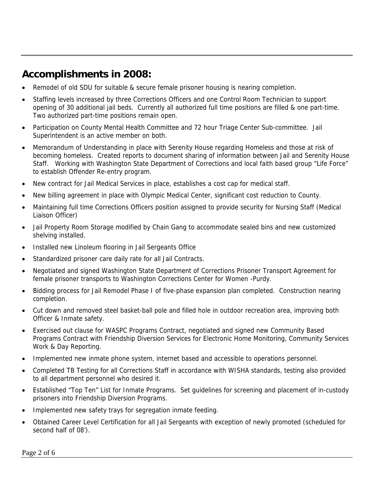#### **Accomplishments in 2008:**

- Remodel of old SDU for suitable & secure female prisoner housing is nearing completion.
- Staffing levels increased by three Corrections Officers and one Control Room Technician to support opening of 30 additional jail beds. Currently all authorized full time positions are filled & one part-time. Two authorized part-time positions remain open.
- Participation on County Mental Health Committee and 72 hour Triage Center Sub-committee. Jail Superintendent is an active member on both.
- Memorandum of Understanding in place with Serenity House regarding Homeless and those at risk of becoming homeless. Created reports to document sharing of information between Jail and Serenity House Staff. Working with Washington State Department of Corrections and local faith based group "Life Force" to establish Offender Re-entry program.
- New contract for Jail Medical Services in place, establishes a cost cap for medical staff.
- New billing agreement in place with Olympic Medical Center, significant cost reduction to County.
- Maintaining full time Corrections Officers position assigned to provide security for Nursing Staff (Medical Liaison Officer)
- Jail Property Room Storage modified by Chain Gang to accommodate sealed bins and new customized shelving installed.
- Installed new Linoleum flooring in Jail Sergeants Office
- Standardized prisoner care daily rate for all Jail Contracts.
- Negotiated and signed Washington State Department of Corrections Prisoner Transport Agreement for female prisoner transports to Washington Corrections Center for Women -Purdy.
- Bidding process for Jail Remodel Phase I of five-phase expansion plan completed. Construction nearing completion.
- Cut down and removed steel basket-ball pole and filled hole in outdoor recreation area, improving both Officer & Inmate safety.
- Exercised out clause for WASPC Programs Contract, negotiated and signed new Community Based Programs Contract with Friendship Diversion Services for Electronic Home Monitoring, Community Services Work & Day Reporting.
- Implemented new inmate phone system, internet based and accessible to operations personnel.
- Completed TB Testing for all Corrections Staff in accordance with WISHA standards, testing also provided to all department personnel who desired it.
- Established "Top Ten" List for Inmate Programs. Set guidelines for screening and placement of in-custody prisoners into Friendship Diversion Programs.
- Implemented new safety trays for segregation inmate feeding.
- Obtained Career Level Certification for all Jail Sergeants with exception of newly promoted (scheduled for second half of 08').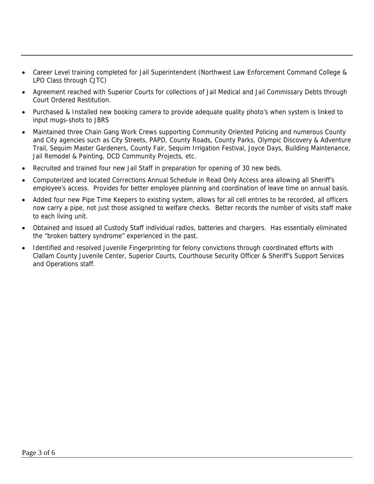- Career Level training completed for Jail Superintendent (Northwest Law Enforcement Command College & LPO Class through CJTC)
- Agreement reached with Superior Courts for collections of Jail Medical and Jail Commissary Debts through Court Ordered Restitution.
- Purchased & Installed new booking camera to provide adequate quality photo's when system is linked to input mugs-shots to JBRS
- Maintained three Chain Gang Work Crews supporting Community Oriented Policing and numerous County and City agencies such as City Streets, PAPD, County Roads, County Parks, Olympic Discovery & Adventure Trail, Sequim Master Gardeners, County Fair, Sequim Irrigation Festival, Joyce Days, Building Maintenance, Jail Remodel & Painting, DCD Community Projects, etc.
- Recruited and trained four new Jail Staff in preparation for opening of 30 new beds.
- Computerized and located Corrections Annual Schedule in Read Only Access area allowing all Sheriff's employee's access. Provides for better employee planning and coordination of leave time on annual basis.
- Added four new Pipe Time Keepers to existing system, allows for all cell entries to be recorded, all officers now carry a pipe, not just those assigned to welfare checks. Better records the number of visits staff make to each living unit.
- Obtained and issued all Custody Staff individual radios, batteries and chargers. Has essentially eliminated the "broken battery syndrome" experienced in the past.
- Identified and resolved Juvenile Fingerprinting for felony convictions through coordinated efforts with Clallam County Juvenile Center, Superior Courts, Courthouse Security Officer & Sheriff's Support Services and Operations staff.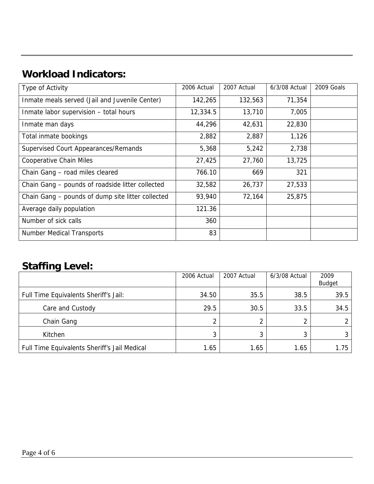## **Workload Indicators:**

| Type of Activity                                  | 2006 Actual | 2007 Actual | 6/3/08 Actual | 2009 Goals |
|---------------------------------------------------|-------------|-------------|---------------|------------|
| Inmate meals served (Jail and Juvenile Center)    | 142,265     | 132,563     | 71,354        |            |
| Inmate labor supervision - total hours            | 12,334.5    | 13,710      | 7,005         |            |
| Inmate man days                                   | 44,296      | 42,631      | 22,830        |            |
| Total inmate bookings                             | 2,882       | 2,887       | 1,126         |            |
| Supervised Court Appearances/Remands              | 5,368       | 5,242       | 2,738         |            |
| <b>Cooperative Chain Miles</b>                    | 27,425      | 27,760      | 13,725        |            |
| Chain Gang - road miles cleared                   | 766.10      | 669         | 321           |            |
| Chain Gang - pounds of roadside litter collected  | 32,582      | 26,737      | 27,533        |            |
| Chain Gang - pounds of dump site litter collected | 93,940      | 72,164      | 25,875        |            |
| Average daily population                          | 121.36      |             |               |            |
| Number of sick calls                              | 360         |             |               |            |
| <b>Number Medical Transports</b>                  | 83          |             |               |            |

#### **Staffing Level:**

|                                              | 2006 Actual | 2007 Actual | 6/3/08 Actual | 2009<br><b>Budget</b> |
|----------------------------------------------|-------------|-------------|---------------|-----------------------|
| Full Time Equivalents Sheriff's Jail:        | 34.50       | 35.5        | 38.5          | 39.5                  |
| Care and Custody                             | 29.5        | 30.5        | 33.5          | 34.5                  |
| Chain Gang                                   |             | 2           | 2             |                       |
| Kitchen                                      |             |             | 3             |                       |
| Full Time Equivalents Sheriff's Jail Medical | 1.65        | 1.65        | 1.65          | 1.75                  |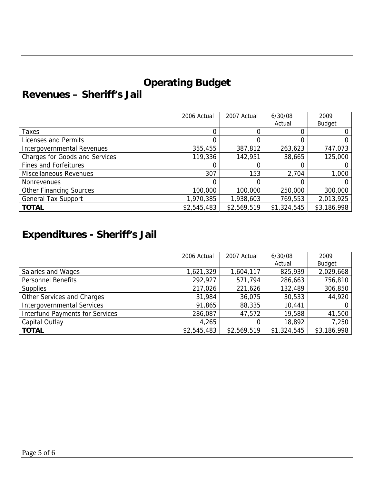## **Operating Budget**

### **Revenues – Sheriff's Jail**

|                                       | 2006 Actual | 2007 Actual | 6/30/08     | 2009          |
|---------------------------------------|-------------|-------------|-------------|---------------|
|                                       |             |             | Actual      | <b>Budget</b> |
| Taxes                                 |             |             |             |               |
| Licenses and Permits                  |             |             |             |               |
| Intergovernmental Revenues            | 355,455     | 387,812     | 263,623     | 747,073       |
| <b>Charges for Goods and Services</b> | 119,336     | 142,951     | 38,665      | 125,000       |
| <b>Fines and Forfeitures</b>          |             |             |             |               |
| Miscellaneous Revenues                | 307         | 153         | 2,704       | 1,000         |
| Nonrevenues                           | 0           |             |             |               |
| <b>Other Financing Sources</b>        | 100,000     | 100,000     | 250,000     | 300,000       |
| <b>General Tax Support</b>            | 1,970,385   | 1,938,603   | 769,553     | 2,013,925     |
| <b>TOTAL</b>                          | \$2,545,483 | \$2,569,519 | \$1,324,545 | \$3,186,998   |

## **Expenditures - Sheriff's Jail**

|                                        | 2006 Actual | 2007 Actual | 6/30/08     | 2009        |
|----------------------------------------|-------------|-------------|-------------|-------------|
|                                        |             |             | Actual      | Budget      |
| Salaries and Wages                     | 1,621,329   | 1,604,117   | 825,939     | 2,029,668   |
| <b>Personnel Benefits</b>              | 292,927     | 571,794     | 286,663     | 756,810     |
| <b>Supplies</b>                        | 217,026     | 221,626     | 132,489     | 306,850     |
| Other Services and Charges             | 31,984      | 36,075      | 30,533      | 44,920      |
| <b>Intergovernmental Services</b>      | 91,865      | 88,335      | 10,441      | 0           |
| <b>Interfund Payments for Services</b> | 286,087     | 47,572      | 19,588      | 41,500      |
| Capital Outlay                         | 4,265       |             | 18,892      | 7,250       |
| <b>TOTAL</b>                           | \$2,545,483 | \$2,569,519 | \$1,324,545 | \$3,186,998 |